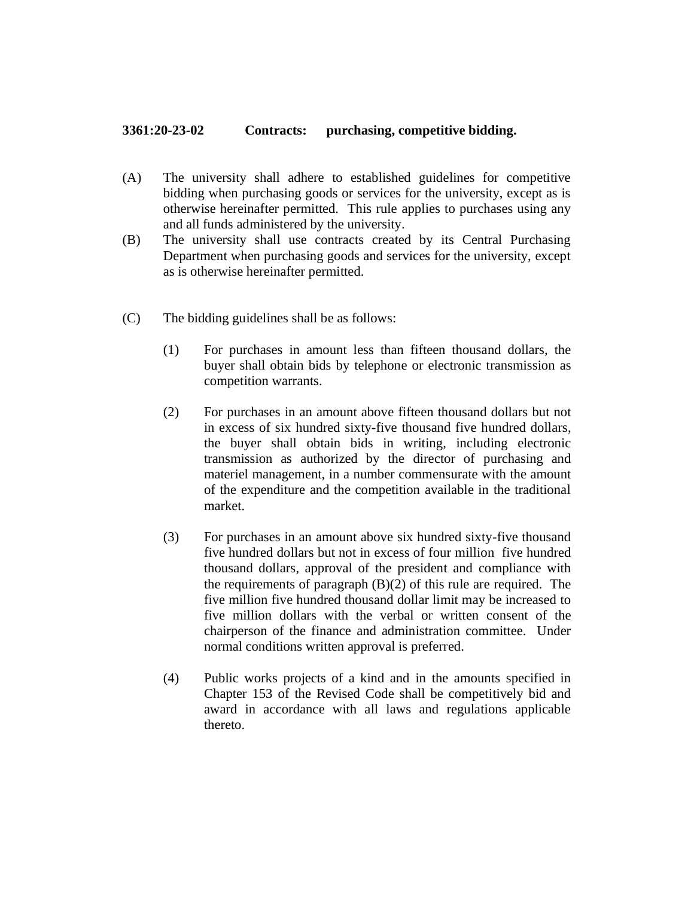## **3361:20-23-02 Contracts: purchasing, competitive bidding.**

- (A) The university shall adhere to established guidelines for competitive bidding when purchasing goods or services for the university, except as is otherwise hereinafter permitted. This rule applies to purchases using any and all funds administered by the university.
- (B) The university shall use contracts created by its Central Purchasing Department when purchasing goods and services for the university, except as is otherwise hereinafter permitted.
- (C) The bidding guidelines shall be as follows:
	- (1) For purchases in amount less than fifteen thousand dollars, the buyer shall obtain bids by telephone or electronic transmission as competition warrants.
	- (2) For purchases in an amount above fifteen thousand dollars but not in excess of six hundred sixty-five thousand five hundred dollars, the buyer shall obtain bids in writing, including electronic transmission as authorized by the director of purchasing and materiel management, in a number commensurate with the amount of the expenditure and the competition available in the traditional market.
	- (3) For purchases in an amount above six hundred sixty-five thousand five hundred dollars but not in excess of four million five hundred thousand dollars, approval of the president and compliance with the requirements of paragraph (B)(2) of this rule are required. The five million five hundred thousand dollar limit may be increased to five million dollars with the verbal or written consent of the chairperson of the finance and administration committee. Under normal conditions written approval is preferred.
	- (4) Public works projects of a kind and in the amounts specified in Chapter 153 of the Revised Code shall be competitively bid and award in accordance with all laws and regulations applicable thereto.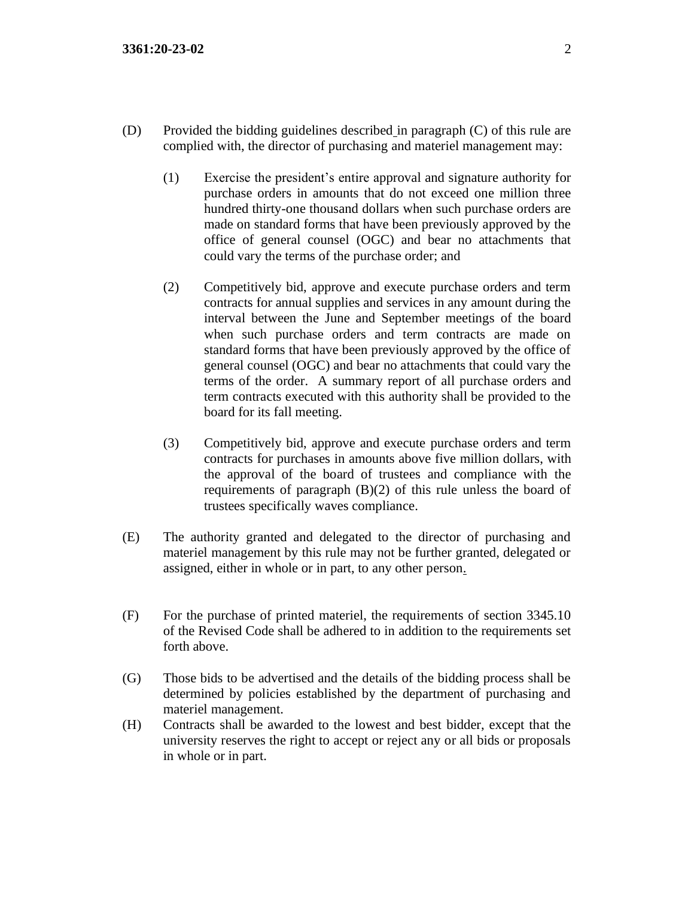- (D) Provided the bidding guidelines described in paragraph (C) of this rule are complied with, the director of purchasing and materiel management may:
	- (1) Exercise the president's entire approval and signature authority for purchase orders in amounts that do not exceed one million three hundred thirty-one thousand dollars when such purchase orders are made on standard forms that have been previously approved by the office of general counsel (OGC) and bear no attachments that could vary the terms of the purchase order; and
	- (2) Competitively bid, approve and execute purchase orders and term contracts for annual supplies and services in any amount during the interval between the June and September meetings of the board when such purchase orders and term contracts are made on standard forms that have been previously approved by the office of general counsel (OGC) and bear no attachments that could vary the terms of the order. A summary report of all purchase orders and term contracts executed with this authority shall be provided to the board for its fall meeting.
	- (3) Competitively bid, approve and execute purchase orders and term contracts for purchases in amounts above five million dollars, with the approval of the board of trustees and compliance with the requirements of paragraph (B)(2) of this rule unless the board of trustees specifically waves compliance.
- (E) The authority granted and delegated to the director of purchasing and materiel management by this rule may not be further granted, delegated or assigned, either in whole or in part, to any other person.
- (F) For the purchase of printed materiel, the requirements of section 3345.10 of the Revised Code shall be adhered to in addition to the requirements set forth above.
- (G) Those bids to be advertised and the details of the bidding process shall be determined by policies established by the department of purchasing and materiel management.
- (H) Contracts shall be awarded to the lowest and best bidder, except that the university reserves the right to accept or reject any or all bids or proposals in whole or in part.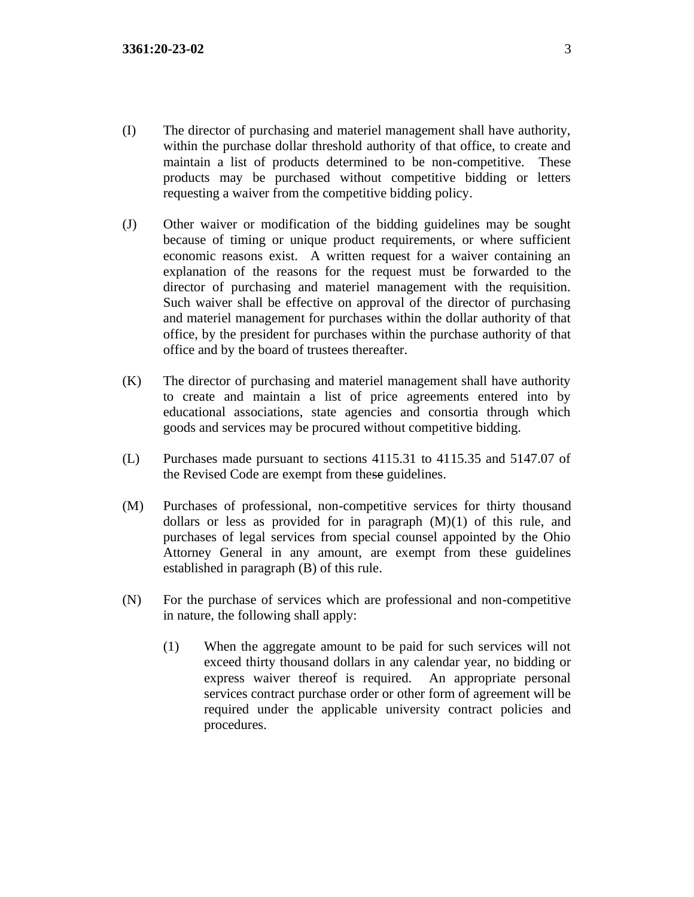- (I) The director of purchasing and materiel management shall have authority, within the purchase dollar threshold authority of that office, to create and maintain a list of products determined to be non-competitive. These products may be purchased without competitive bidding or letters requesting a waiver from the competitive bidding policy.
- (J) Other waiver or modification of the bidding guidelines may be sought because of timing or unique product requirements, or where sufficient economic reasons exist. A written request for a waiver containing an explanation of the reasons for the request must be forwarded to the director of purchasing and materiel management with the requisition. Such waiver shall be effective on approval of the director of purchasing and materiel management for purchases within the dollar authority of that office, by the president for purchases within the purchase authority of that office and by the board of trustees thereafter.
- (K) The director of purchasing and materiel management shall have authority to create and maintain a list of price agreements entered into by educational associations, state agencies and consortia through which goods and services may be procured without competitive bidding.
- (L) Purchases made pursuant to sections 4115.31 to 4115.35 and 5147.07 of the Revised Code are exempt from these guidelines.
- (M) Purchases of professional, non-competitive services for thirty thousand dollars or less as provided for in paragraph  $(M)(1)$  of this rule, and purchases of legal services from special counsel appointed by the Ohio Attorney General in any amount, are exempt from these guidelines established in paragraph (B) of this rule.
- (N) For the purchase of services which are professional and non-competitive in nature, the following shall apply:
	- (1) When the aggregate amount to be paid for such services will not exceed thirty thousand dollars in any calendar year, no bidding or express waiver thereof is required. An appropriate personal services contract purchase order or other form of agreement will be required under the applicable university contract policies and procedures.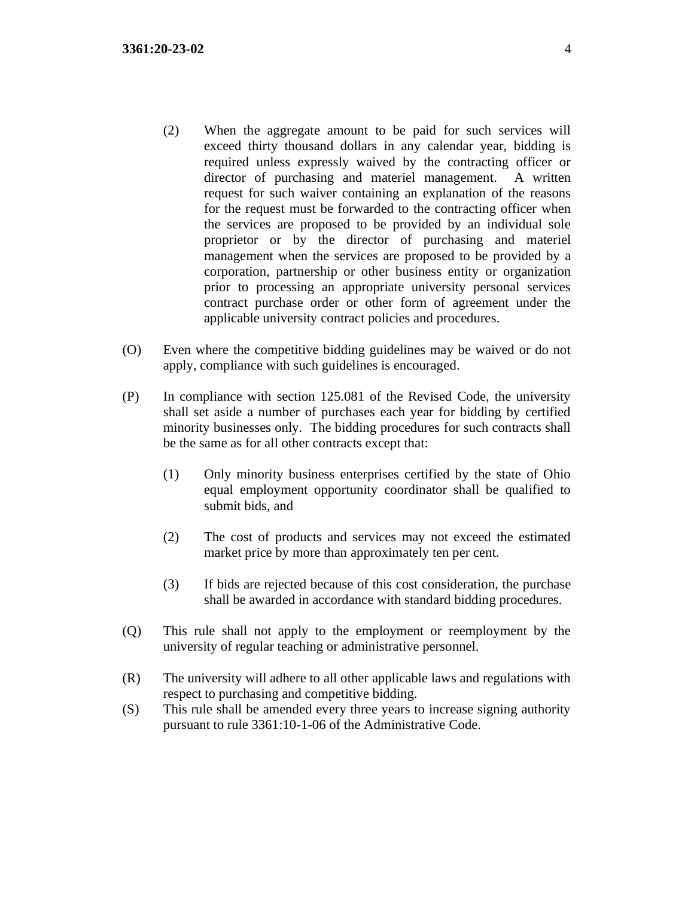- (2) When the aggregate amount to be paid for such services will exceed thirty thousand dollars in any calendar year, bidding is required unless expressly waived by the contracting officer or director of purchasing and materiel management. A written request for such waiver containing an explanation of the reasons for the request must be forwarded to the contracting officer when the services are proposed to be provided by an individual sole proprietor or by the director of purchasing and materiel management when the services are proposed to be provided by a corporation, partnership or other business entity or organization prior to processing an appropriate university personal services contract purchase order or other form of agreement under the applicable university contract policies and procedures.
- (O) Even where the competitive bidding guidelines may be waived or do not apply, compliance with such guidelines is encouraged.
- (P) In compliance with section 125.081 of the Revised Code, the university shall set aside a number of purchases each year for bidding by certified minority businesses only. The bidding procedures for such contracts shall be the same as for all other contracts except that:
	- (1) Only minority business enterprises certified by the state of Ohio equal employment opportunity coordinator shall be qualified to submit bids, and
	- (2) The cost of products and services may not exceed the estimated market price by more than approximately ten per cent.
	- (3) If bids are rejected because of this cost consideration, the purchase shall be awarded in accordance with standard bidding procedures.
- (Q) This rule shall not apply to the employment or reemployment by the university of regular teaching or administrative personnel.
- (R) The university will adhere to all other applicable laws and regulations with respect to purchasing and competitive bidding.
- (S) This rule shall be amended every three years to increase signing authority pursuant to rule 3361:10-1-06 of the Administrative Code.